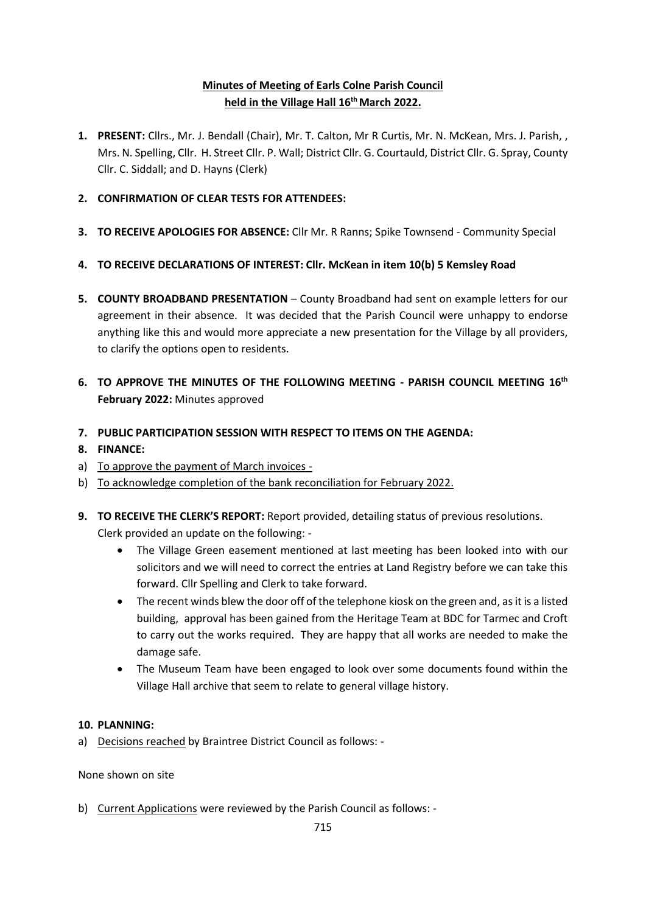# **Minutes of Meeting of Earls Colne Parish Council held in the Village Hall 16 thMarch 2022.**

- **1. PRESENT:** Cllrs., Mr. J. Bendall (Chair), Mr. T. Calton, Mr R Curtis, Mr. N. McKean, Mrs. J. Parish, , Mrs. N. Spelling, Cllr. H. Street Cllr. P. Wall; District Cllr. G. Courtauld, District Cllr. G. Spray, County Cllr. C. Siddall; and D. Hayns (Clerk)
- **2. CONFIRMATION OF CLEAR TESTS FOR ATTENDEES:**
- **3. TO RECEIVE APOLOGIES FOR ABSENCE:** Cllr Mr. R Ranns; Spike Townsend Community Special
- **4. TO RECEIVE DECLARATIONS OF INTEREST: Cllr. McKean in item 10(b) 5 Kemsley Road**
- **5. COUNTY BROADBAND PRESENTATION**  County Broadband had sent on example letters for our agreement in their absence. It was decided that the Parish Council were unhappy to endorse anything like this and would more appreciate a new presentation for the Village by all providers, to clarify the options open to residents.
- **6. TO APPROVE THE MINUTES OF THE FOLLOWING MEETING - PARISH COUNCIL MEETING 16 th February 2022:** Minutes approved
- **7. PUBLIC PARTICIPATION SESSION WITH RESPECT TO ITEMS ON THE AGENDA:**
- **8. FINANCE:**
- a) To approve the payment of March invoices -
- b) To acknowledge completion of the bank reconciliation for February 2022.
- **9. TO RECEIVE THE CLERK'S REPORT:** Report provided, detailing status of previous resolutions.

Clerk provided an update on the following: -

- The Village Green easement mentioned at last meeting has been looked into with our solicitors and we will need to correct the entries at Land Registry before we can take this forward. Cllr Spelling and Clerk to take forward.
- The recent winds blew the door off of the telephone kiosk on the green and, as it is a listed building, approval has been gained from the Heritage Team at BDC for Tarmec and Croft to carry out the works required. They are happy that all works are needed to make the damage safe.
- The Museum Team have been engaged to look over some documents found within the Village Hall archive that seem to relate to general village history.

#### **10. PLANNING:**

a) Decisions reached by Braintree District Council as follows: -

None shown on site

b) Current Applications were reviewed by the Parish Council as follows: -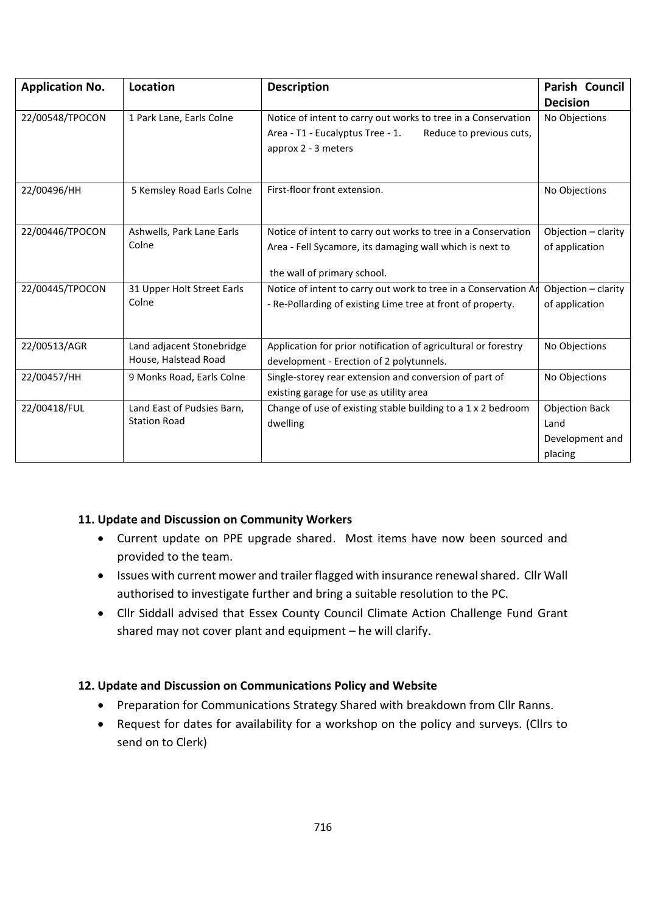| <b>Application No.</b> | <b>Location</b>            | <b>Description</b>                                                                  | Parish Council        |
|------------------------|----------------------------|-------------------------------------------------------------------------------------|-----------------------|
|                        |                            |                                                                                     | <b>Decision</b>       |
| 22/00548/TPOCON        | 1 Park Lane, Earls Colne   | Notice of intent to carry out works to tree in a Conservation                       | No Objections         |
|                        |                            | Area - T1 - Eucalyptus Tree - 1.<br>Reduce to previous cuts,<br>approx 2 - 3 meters |                       |
| 22/00496/HH            | 5 Kemsley Road Earls Colne | First-floor front extension.                                                        | No Objections         |
| 22/00446/TPOCON        | Ashwells, Park Lane Earls  | Notice of intent to carry out works to tree in a Conservation                       | Objection - clarity   |
|                        | Colne                      | Area - Fell Sycamore, its damaging wall which is next to                            | of application        |
|                        |                            | the wall of primary school.                                                         |                       |
| 22/00445/TPOCON        | 31 Upper Holt Street Earls | Notice of intent to carry out work to tree in a Conservation Ar                     | Objection - clarity   |
|                        | Colne                      | - Re-Pollarding of existing Lime tree at front of property.                         | of application        |
| 22/00513/AGR           | Land adjacent Stonebridge  | Application for prior notification of agricultural or forestry                      | No Objections         |
|                        | House, Halstead Road       | development - Erection of 2 polytunnels.                                            |                       |
| 22/00457/HH            | 9 Monks Road, Earls Colne  | Single-storey rear extension and conversion of part of                              | No Objections         |
|                        |                            | existing garage for use as utility area                                             |                       |
| 22/00418/FUL           | Land East of Pudsies Barn, | Change of use of existing stable building to a 1 x 2 bedroom                        | <b>Objection Back</b> |
|                        | <b>Station Road</b>        | dwelling                                                                            | Land                  |
|                        |                            |                                                                                     | Development and       |
|                        |                            |                                                                                     | placing               |

### **11. Update and Discussion on Community Workers**

- Current update on PPE upgrade shared. Most items have now been sourced and provided to the team.
- Issues with current mower and trailer flagged with insurance renewal shared. Cllr Wall authorised to investigate further and bring a suitable resolution to the PC.
- Cllr Siddall advised that Essex County Council Climate Action Challenge Fund Grant shared may not cover plant and equipment – he will clarify.

### **12. Update and Discussion on Communications Policy and Website**

- Preparation for Communications Strategy Shared with breakdown from Cllr Ranns.
- Request for dates for availability for a workshop on the policy and surveys. (Cllrs to send on to Clerk)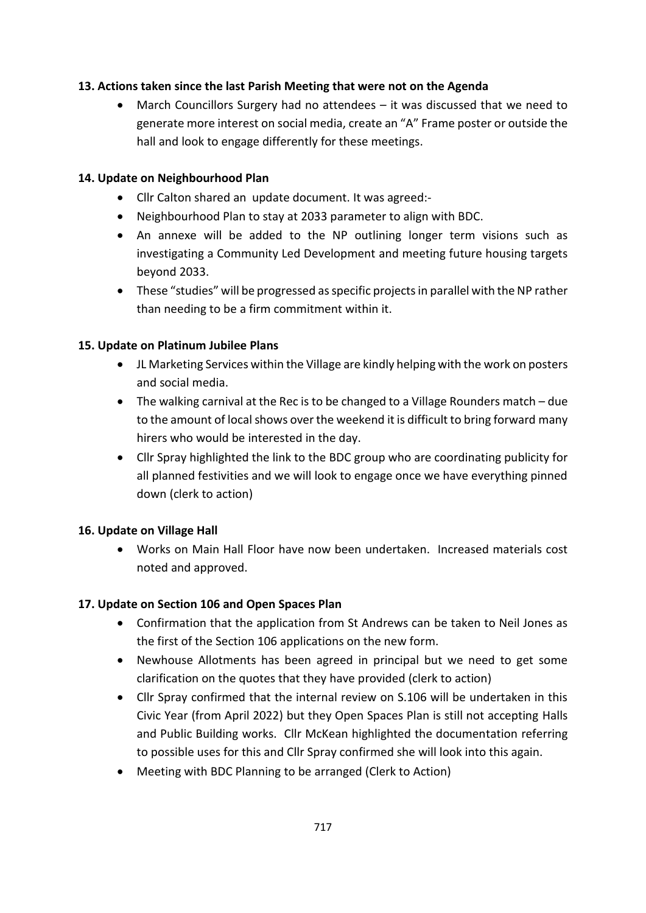### **13. Actions taken since the last Parish Meeting that were not on the Agenda**

• March Councillors Surgery had no attendees – it was discussed that we need to generate more interest on social media, create an "A" Frame poster or outside the hall and look to engage differently for these meetings.

### **14. Update on Neighbourhood Plan**

- Cllr Calton shared an update document. It was agreed:-
- Neighbourhood Plan to stay at 2033 parameter to align with BDC.
- An annexe will be added to the NP outlining longer term visions such as investigating a Community Led Development and meeting future housing targets beyond 2033.
- These "studies" will be progressed as specific projects in parallel with the NP rather than needing to be a firm commitment within it.

# **15. Update on Platinum Jubilee Plans**

- JL Marketing Services within the Village are kindly helping with the work on posters and social media.
- The walking carnival at the Rec is to be changed to a Village Rounders match due to the amount of local shows over the weekend it is difficult to bring forward many hirers who would be interested in the day.
- Cllr Spray highlighted the link to the BDC group who are coordinating publicity for all planned festivities and we will look to engage once we have everything pinned down (clerk to action)

### **16. Update on Village Hall**

• Works on Main Hall Floor have now been undertaken. Increased materials cost noted and approved.

### **17. Update on Section 106 and Open Spaces Plan**

- Confirmation that the application from St Andrews can be taken to Neil Jones as the first of the Section 106 applications on the new form.
- Newhouse Allotments has been agreed in principal but we need to get some clarification on the quotes that they have provided (clerk to action)
- Cllr Spray confirmed that the internal review on S.106 will be undertaken in this Civic Year (from April 2022) but they Open Spaces Plan is still not accepting Halls and Public Building works. Cllr McKean highlighted the documentation referring to possible uses for this and Cllr Spray confirmed she will look into this again.
- Meeting with BDC Planning to be arranged (Clerk to Action)